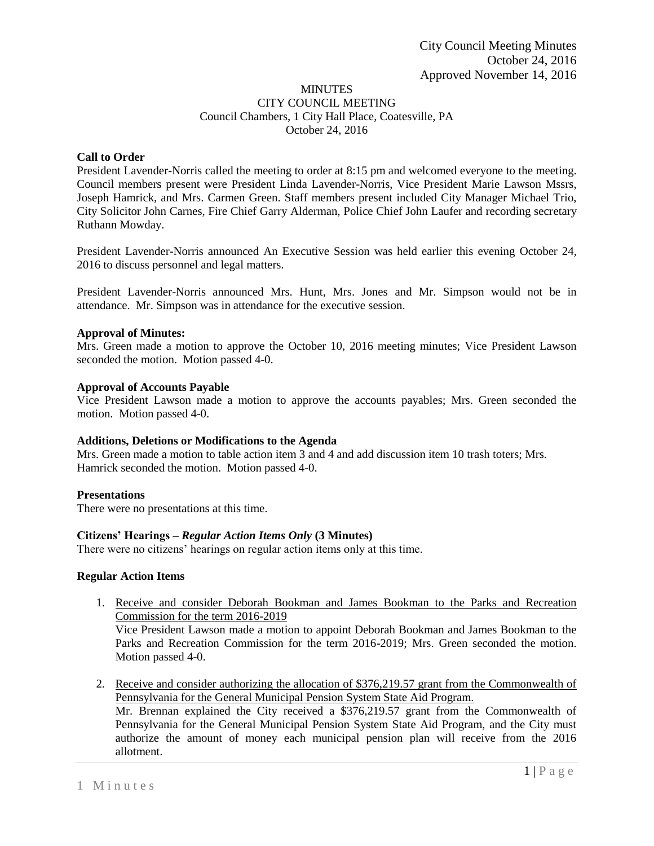#### MINUTES CITY COUNCIL MEETING Council Chambers, 1 City Hall Place, Coatesville, PA October 24, 2016

## **Call to Order**

President Lavender-Norris called the meeting to order at 8:15 pm and welcomed everyone to the meeting. Council members present were President Linda Lavender-Norris, Vice President Marie Lawson Mssrs, Joseph Hamrick, and Mrs. Carmen Green. Staff members present included City Manager Michael Trio, City Solicitor John Carnes, Fire Chief Garry Alderman, Police Chief John Laufer and recording secretary Ruthann Mowday.

President Lavender-Norris announced An Executive Session was held earlier this evening October 24, 2016 to discuss personnel and legal matters.

President Lavender-Norris announced Mrs. Hunt, Mrs. Jones and Mr. Simpson would not be in attendance. Mr. Simpson was in attendance for the executive session.

### **Approval of Minutes:**

Mrs. Green made a motion to approve the October 10, 2016 meeting minutes; Vice President Lawson seconded the motion. Motion passed 4-0.

#### **Approval of Accounts Payable**

Vice President Lawson made a motion to approve the accounts payables; Mrs. Green seconded the motion. Motion passed 4-0.

#### **Additions, Deletions or Modifications to the Agenda**

Mrs. Green made a motion to table action item 3 and 4 and add discussion item 10 trash toters; Mrs. Hamrick seconded the motion. Motion passed 4-0.

### **Presentations**

There were no presentations at this time.

### **Citizens' Hearings –** *Regular Action Items Only* **(3 Minutes)**

There were no citizens' hearings on regular action items only at this time.

#### **Regular Action Items**

1. Receive and consider Deborah Bookman and James Bookman to the Parks and Recreation Commission for the term 2016-2019 Vice President Lawson made a motion to appoint Deborah Bookman and James Bookman to the

Parks and Recreation Commission for the term 2016-2019; Mrs. Green seconded the motion. Motion passed 4-0.

2. Receive and consider authorizing the allocation of \$376,219.57 grant from the Commonwealth of Pennsylvania for the General Municipal Pension System State Aid Program. Mr. Brennan explained the City received a \$376,219.57 grant from the Commonwealth of Pennsylvania for the General Municipal Pension System State Aid Program, and the City must authorize the amount of money each municipal pension plan will receive from the 2016 allotment.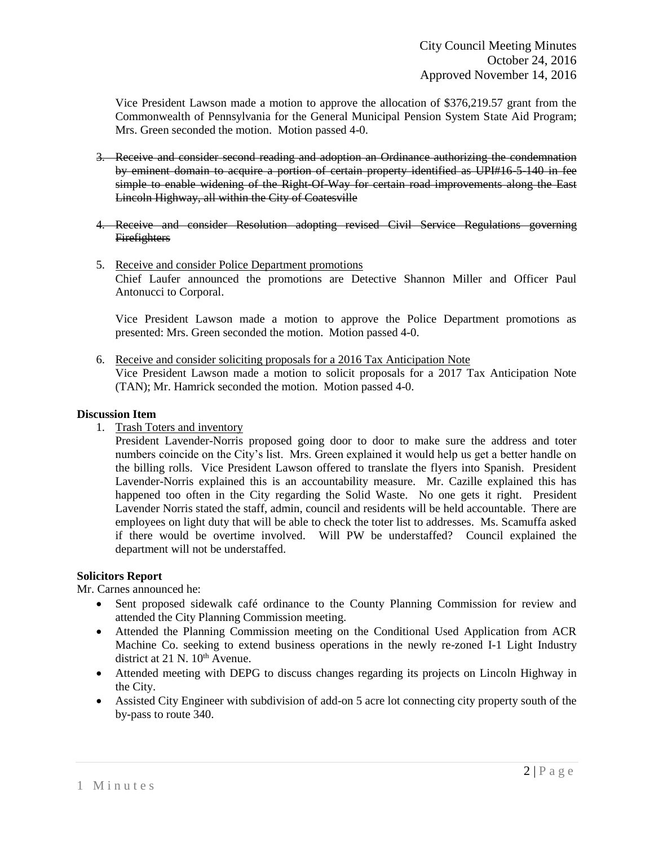Vice President Lawson made a motion to approve the allocation of \$376,219.57 grant from the Commonwealth of Pennsylvania for the General Municipal Pension System State Aid Program; Mrs. Green seconded the motion. Motion passed 4-0.

- 3. Receive and consider second reading and adoption an Ordinance authorizing the condemnation by eminent domain to acquire a portion of certain property identified as UPI#16-5-140 in fee simple to enable widening of the Right-Of-Way for certain road improvements along the East Lincoln Highway, all within the City of Coatesville
- 4. Receive and consider Resolution adopting revised Civil Service Regulations governing **Firefighters**
- 5. Receive and consider Police Department promotions Chief Laufer announced the promotions are Detective Shannon Miller and Officer Paul Antonucci to Corporal.

Vice President Lawson made a motion to approve the Police Department promotions as presented: Mrs. Green seconded the motion. Motion passed 4-0.

6. Receive and consider soliciting proposals for a 2016 Tax Anticipation Note Vice President Lawson made a motion to solicit proposals for a 2017 Tax Anticipation Note (TAN); Mr. Hamrick seconded the motion. Motion passed 4-0.

### **Discussion Item**

1. Trash Toters and inventory

President Lavender-Norris proposed going door to door to make sure the address and toter numbers coincide on the City's list. Mrs. Green explained it would help us get a better handle on the billing rolls. Vice President Lawson offered to translate the flyers into Spanish. President Lavender-Norris explained this is an accountability measure. Mr. Cazille explained this has happened too often in the City regarding the Solid Waste. No one gets it right. President Lavender Norris stated the staff, admin, council and residents will be held accountable. There are employees on light duty that will be able to check the toter list to addresses. Ms. Scamuffa asked if there would be overtime involved. Will PW be understaffed? Council explained the department will not be understaffed.

### **Solicitors Report**

Mr. Carnes announced he:

- Sent proposed sidewalk café ordinance to the County Planning Commission for review and attended the City Planning Commission meeting.
- Attended the Planning Commission meeting on the Conditional Used Application from ACR Machine Co. seeking to extend business operations in the newly re-zoned I-1 Light Industry district at 21 N. 10<sup>th</sup> Avenue.
- Attended meeting with DEPG to discuss changes regarding its projects on Lincoln Highway in the City.
- Assisted City Engineer with subdivision of add-on 5 acre lot connecting city property south of the by-pass to route 340.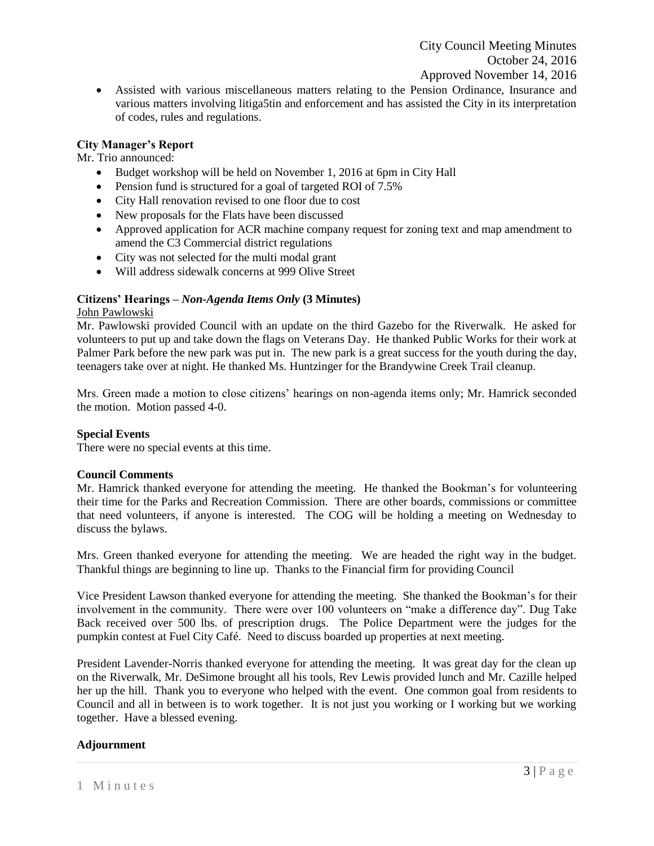Assisted with various miscellaneous matters relating to the Pension Ordinance, Insurance and various matters involving litiga5tin and enforcement and has assisted the City in its interpretation of codes, rules and regulations.

# **City Manager's Report**

Mr. Trio announced:

- Budget workshop will be held on November 1, 2016 at 6pm in City Hall
- Pension fund is structured for a goal of targeted ROI of 7.5%
- City Hall renovation revised to one floor due to cost
- New proposals for the Flats have been discussed
- Approved application for ACR machine company request for zoning text and map amendment to amend the C3 Commercial district regulations
- City was not selected for the multi modal grant
- Will address sidewalk concerns at 999 Olive Street

## **Citizens' Hearings –** *Non-Agenda Items Only* **(3 Minutes)**

### John Pawlowski

Mr. Pawlowski provided Council with an update on the third Gazebo for the Riverwalk. He asked for volunteers to put up and take down the flags on Veterans Day. He thanked Public Works for their work at Palmer Park before the new park was put in. The new park is a great success for the youth during the day, teenagers take over at night. He thanked Ms. Huntzinger for the Brandywine Creek Trail cleanup.

Mrs. Green made a motion to close citizens' hearings on non-agenda items only; Mr. Hamrick seconded the motion. Motion passed 4-0.

### **Special Events**

There were no special events at this time.

### **Council Comments**

Mr. Hamrick thanked everyone for attending the meeting. He thanked the Bookman's for volunteering their time for the Parks and Recreation Commission. There are other boards, commissions or committee that need volunteers, if anyone is interested. The COG will be holding a meeting on Wednesday to discuss the bylaws.

Mrs. Green thanked everyone for attending the meeting. We are headed the right way in the budget. Thankful things are beginning to line up. Thanks to the Financial firm for providing Council

Vice President Lawson thanked everyone for attending the meeting. She thanked the Bookman's for their involvement in the community. There were over 100 volunteers on "make a difference day". Dug Take Back received over 500 lbs. of prescription drugs. The Police Department were the judges for the pumpkin contest at Fuel City Café. Need to discuss boarded up properties at next meeting.

President Lavender-Norris thanked everyone for attending the meeting. It was great day for the clean up on the Riverwalk, Mr. DeSimone brought all his tools, Rev Lewis provided lunch and Mr. Cazille helped her up the hill. Thank you to everyone who helped with the event. One common goal from residents to Council and all in between is to work together. It is not just you working or I working but we working together. Have a blessed evening.

### **Adjournment**